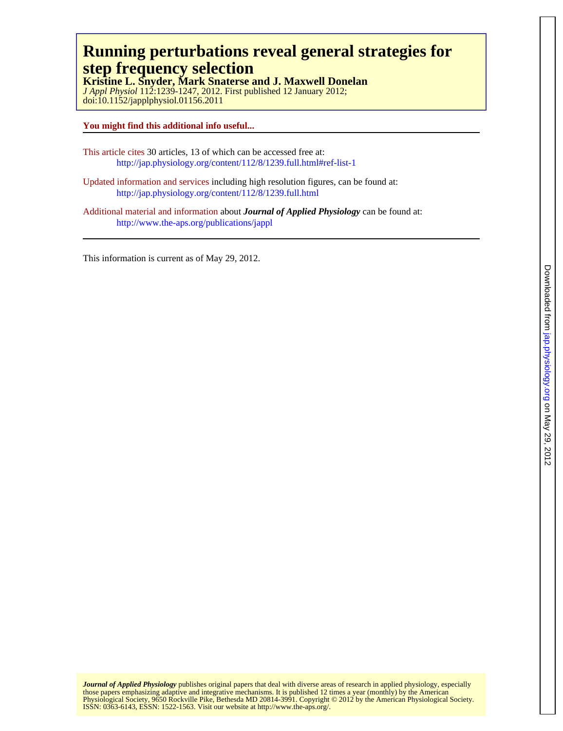# **step frequency selection Running perturbations reveal general strategies for**

**Kristine L. Snyder, Mark Snaterse and J. Maxwell Donelan**

doi:10.1152/japplphysiol.01156.2011 *J Appl Physiol* 112:1239-1247, 2012. First published 12 January 2012;

## **You might find this additional info useful...**

- This article cites 30 articles, 13 of which can be accessed free at: <http://jap.physiology.org/content/112/8/1239.full.html#ref-list-1>
- Updated information and services including high resolution figures, can be found at: <http://jap.physiology.org/content/112/8/1239.full.html>
- Additional material and information about *Journal of Applied Physiology* can be found at: http://www.the-aps.org/publications/jappl

This information is current as of May 29, 2012.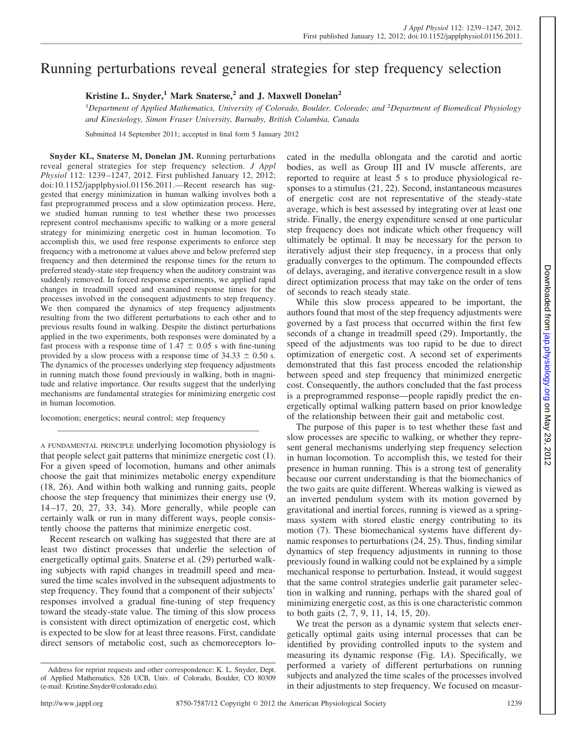## Running perturbations reveal general strategies for step frequency selection

**Kristine L. Snyder,<sup>1</sup> Mark Snaterse,<sup>2</sup> and J. Maxwell Donelan<sup>2</sup>**

1 *Department of Applied Mathematics, University of Colorado, Boulder, Colorado; and* <sup>2</sup> *Department of Biomedical Physiology and Kinesiology, Simon Fraser University, Burnaby, British Columbia, Canada*

Submitted 14 September 2011; accepted in final form 5 January 2012

**Snyder KL, Snaterse M, Donelan JM.** Running perturbations reveal general strategies for step frequency selection. *J Appl Physiol* 112: 1239 –1247, 2012. First published January 12, 2012; doi:10.1152/japplphysiol.01156.2011.—Recent research has suggested that energy minimization in human walking involves both a fast preprogrammed process and a slow optimization process. Here, we studied human running to test whether these two processes represent control mechanisms specific to walking or a more general strategy for minimizing energetic cost in human locomotion. To accomplish this, we used free response experiments to enforce step frequency with a metronome at values above and below preferred step frequency and then determined the response times for the return to preferred steady-state step frequency when the auditory constraint was suddenly removed. In forced response experiments, we applied rapid changes in treadmill speed and examined response times for the processes involved in the consequent adjustments to step frequency. We then compared the dynamics of step frequency adjustments resulting from the two different perturbations to each other and to previous results found in walking. Despite the distinct perturbations applied in the two experiments, both responses were dominated by a fast process with a response time of  $1.47 \pm 0.05$  s with fine-tuning provided by a slow process with a response time of  $34.33 \pm 0.50$  s. The dynamics of the processes underlying step frequency adjustments in running match those found previously in walking, both in magnitude and relative importance. Our results suggest that the underlying mechanisms are fundamental strategies for minimizing energetic cost in human locomotion.

locomotion; energetics; neural control; step frequency

A FUNDAMENTAL PRINCIPLE underlying locomotion physiology is that people select gait patterns that minimize energetic cost (1). For a given speed of locomotion, humans and other animals choose the gait that minimizes metabolic energy expenditure (18, 26). And within both walking and running gaits, people choose the step frequency that minimizes their energy use (9, 14 –17, 20, 27, 33, 34). More generally, while people can certainly walk or run in many different ways, people consistently choose the patterns that minimize energetic cost.

Recent research on walking has suggested that there are at least two distinct processes that underlie the selection of energetically optimal gaits. Snaterse et al. (29) perturbed walking subjects with rapid changes in treadmill speed and measured the time scales involved in the subsequent adjustments to step frequency. They found that a component of their subjects' responses involved a gradual fine-tuning of step frequency toward the steady-state value. The timing of this slow process is consistent with direct optimization of energetic cost, which is expected to be slow for at least three reasons. First, candidate direct sensors of metabolic cost, such as chemoreceptors located in the medulla oblongata and the carotid and aortic bodies, as well as Group III and IV muscle afferents, are reported to require at least 5 s to produce physiological responses to a stimulus (21, 22). Second, instantaneous measures of energetic cost are not representative of the steady-state average, which is best assessed by integrating over at least one stride. Finally, the energy expenditure sensed at one particular step frequency does not indicate which other frequency will ultimately be optimal. It may be necessary for the person to iteratively adjust their step frequency, in a process that only gradually converges to the optimum. The compounded effects of delays, averaging, and iterative convergence result in a slow direct optimization process that may take on the order of tens of seconds to reach steady state.

While this slow process appeared to be important, the authors found that most of the step frequency adjustments were governed by a fast process that occurred within the first few seconds of a change in treadmill speed (29). Importantly, the speed of the adjustments was too rapid to be due to direct optimization of energetic cost. A second set of experiments demonstrated that this fast process encoded the relationship between speed and step frequency that minimized energetic cost. Consequently, the authors concluded that the fast process is a preprogrammed response—people rapidly predict the energetically optimal walking pattern based on prior knowledge of the relationship between their gait and metabolic cost.

The purpose of this paper is to test whether these fast and slow processes are specific to walking, or whether they represent general mechanisms underlying step frequency selection in human locomotion. To accomplish this, we tested for their presence in human running. This is a strong test of generality because our current understanding is that the biomechanics of the two gaits are quite different. Whereas walking is viewed as an inverted pendulum system with its motion governed by gravitational and inertial forces, running is viewed as a springmass system with stored elastic energy contributing to its motion (7). These biomechanical systems have different dynamic responses to perturbations (24, 25). Thus, finding similar dynamics of step frequency adjustments in running to those previously found in walking could not be explained by a simple mechanical response to perturbation. Instead, it would suggest that the same control strategies underlie gait parameter selection in walking and running, perhaps with the shared goal of minimizing energetic cost, as this is one characteristic common to both gaits (2, 7, 9, 11, 14, 15, 20).

We treat the person as a dynamic system that selects energetically optimal gaits using internal processes that can be identified by providing controlled inputs to the system and measuring its dynamic response (Fig. 1*A*). Specifically, we performed a variety of different perturbations on running subjects and analyzed the time scales of the processes involved in their adjustments to step frequency. We focused on measur-

Address for reprint requests and other correspondence: K. L. Snyder, Dept. of Applied Mathematics, 526 UCB, Univ. of Colorado, Boulder, CO 80309 (e-mail: Kristine.Snyder@colorado.edu).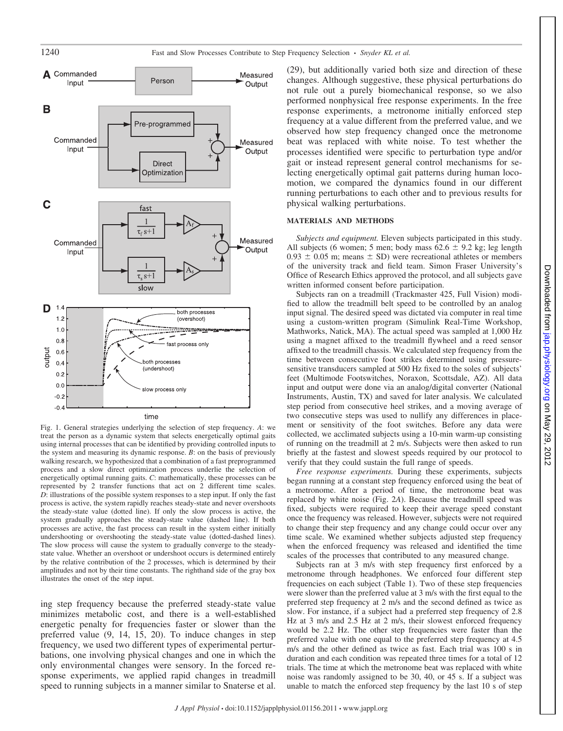

Fig. 1. General strategies underlying the selection of step frequency. *A*: we treat the person as a dynamic system that selects energetically optimal gaits using internal processes that can be identified by providing controlled inputs to the system and measuring its dynamic response. *B*: on the basis of previously walking research, we hypothesized that a combination of a fast preprogrammed process and a slow direct optimization process underlie the selection of energetically optimal running gaits. *C*: mathematically, these processes can be represented by 2 transfer functions that act on 2 different time scales. *D*: illustrations of the possible system responses to a step input. If only the fast process is active, the system rapidly reaches steady-state and never overshoots the steady-state value (dotted line). If only the slow process is active, the system gradually approaches the steady-state value (dashed line). If both processes are active, the fast process can result in the system either initially undershooting or overshooting the steady-state value (dotted-dashed lines). The slow process will cause the system to gradually converge to the steadystate value. Whether an overshoot or undershoot occurs is determined entirely by the relative contribution of the 2 processes, which is determined by their amplitudes and not by their time constants. The righthand side of the gray box illustrates the onset of the step input.

ing step frequency because the preferred steady-state value minimizes metabolic cost, and there is a well-established energetic penalty for frequencies faster or slower than the preferred value (9, 14, 15, 20). To induce changes in step frequency, we used two different types of experimental perturbations, one involving physical changes and one in which the only environmental changes were sensory. In the forced response experiments, we applied rapid changes in treadmill speed to running subjects in a manner similar to Snaterse et al.

(29), but additionally varied both size and direction of these changes. Although suggestive, these physical perturbations do not rule out a purely biomechanical response, so we also performed nonphysical free response experiments. In the free response experiments, a metronome initially enforced step frequency at a value different from the preferred value, and we observed how step frequency changed once the metronome beat was replaced with white noise. To test whether the processes identified were specific to perturbation type and/or gait or instead represent general control mechanisms for selecting energetically optimal gait patterns during human locomotion, we compared the dynamics found in our different running perturbations to each other and to previous results for physical walking perturbations.

#### **MATERIALS AND METHODS**

*Subjects and equipment.* Eleven subjects participated in this study. All subjects (6 women; 5 men; body mass  $62.6 \pm 9.2$  kg; leg length  $0.93 \pm 0.05$  m; means  $\pm$  SD) were recreational athletes or members of the university track and field team. Simon Fraser University's Office of Research Ethics approved the protocol, and all subjects gave written informed consent before participation.

Subjects ran on a treadmill (Trackmaster 425, Full Vision) modified to allow the treadmill belt speed to be controlled by an analog input signal. The desired speed was dictated via computer in real time using a custom-written program (Simulink Real-Time Workshop, Mathworks, Natick, MA). The actual speed was sampled at 1,000 Hz using a magnet affixed to the treadmill flywheel and a reed sensor affixed to the treadmill chassis. We calculated step frequency from the time between consecutive foot strikes determined using pressuresensitive transducers sampled at 500 Hz fixed to the soles of subjects' feet (Multimode Footswitches, Noraxon, Scottsdale, AZ). All data input and output were done via an analog/digital converter (National Instruments, Austin, TX) and saved for later analysis. We calculated step period from consecutive heel strikes, and a moving average of two consecutive steps was used to nullify any differences in placement or sensitivity of the foot switches. Before any data were collected, we acclimated subjects using a 10-min warm-up consisting of running on the treadmill at 2 m/s. Subjects were then asked to run briefly at the fastest and slowest speeds required by our protocol to verify that they could sustain the full range of speeds.

*Free response experiments.* During these experiments, subjects began running at a constant step frequency enforced using the beat of a metronome. After a period of time, the metronome beat was replaced by white noise (Fig. 2*A*). Because the treadmill speed was fixed, subjects were required to keep their average speed constant once the frequency was released. However, subjects were not required to change their step frequency and any change could occur over any time scale. We examined whether subjects adjusted step frequency when the enforced frequency was released and identified the time scales of the processes that contributed to any measured change.

Subjects ran at 3 m/s with step frequency first enforced by a metronome through headphones. We enforced four different step frequencies on each subject (Table 1). Two of these step frequencies were slower than the preferred value at 3 m/s with the first equal to the preferred step frequency at 2 m/s and the second defined as twice as slow. For instance, if a subject had a preferred step frequency of 2.8 Hz at 3 m/s and 2.5 Hz at 2 m/s, their slowest enforced frequency would be 2.2 Hz. The other step frequencies were faster than the preferred value with one equal to the preferred step frequency at 4.5 m/s and the other defined as twice as fast. Each trial was 100 s in duration and each condition was repeated three times for a total of 12 trials. The time at which the metronome beat was replaced with white noise was randomly assigned to be 30, 40, or 45 s. If a subject was unable to match the enforced step frequency by the last 10 s of step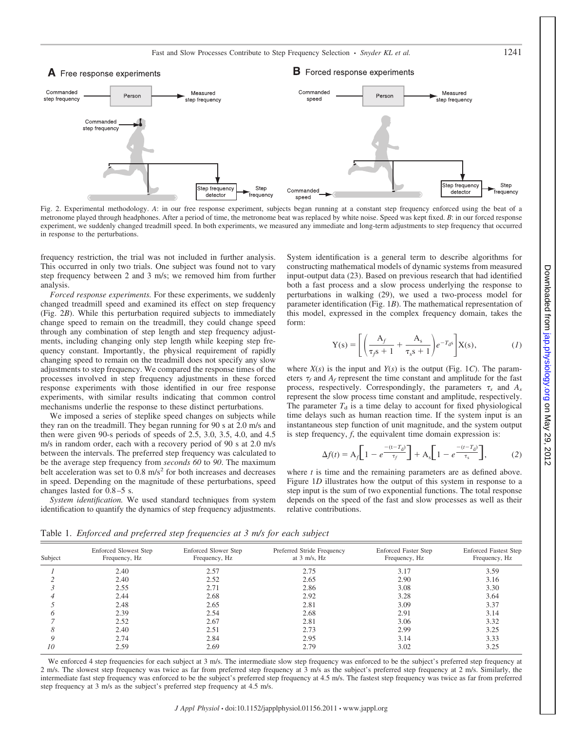

Fig. 2. Experimental methodology. *A*: in our free response experiment, subjects began running at a constant step frequency enforced using the beat of a metronome played through headphones. After a period of time, the metronome beat was replaced by white noise. Speed was kept fixed. *B*: in our forced response experiment, we suddenly changed treadmill speed. In both experiments, we measured any immediate and long-term adjustments to step frequency that occurred in response to the perturbations.

frequency restriction, the trial was not included in further analysis. This occurred in only two trials. One subject was found not to vary step frequency between 2 and 3 m/s; we removed him from further analysis.

*Forced response experiments.* For these experiments, we suddenly changed treadmill speed and examined its effect on step frequency (Fig. 2*B*). While this perturbation required subjects to immediately change speed to remain on the treadmill, they could change speed through any combination of step length and step frequency adjustments, including changing only step length while keeping step frequency constant. Importantly, the physical requirement of rapidly changing speed to remain on the treadmill does not specify any slow adjustments to step frequency. We compared the response times of the processes involved in step frequency adjustments in these forced response experiments with those identified in our free response experiments, with similar results indicating that common control mechanisms underlie the response to these distinct perturbations.

We imposed a series of steplike speed changes on subjects while they ran on the treadmill. They began running for 90 s at 2.0 m/s and then were given 90-s periods of speeds of 2.5, 3.0, 3.5, 4.0, and 4.5 m/s in random order, each with a recovery period of 90 s at 2.0 m/s between the intervals. The preferred step frequency was calculated to be the average step frequency from *seconds 60* to *90*. The maximum belt acceleration was set to  $0.8 \text{ m/s}^2$  for both increases and decreases in speed. Depending on the magnitude of these perturbations, speed changes lasted for  $0.8-5$  s.

*System identification.* We used standard techniques from system identification to quantify the dynamics of step frequency adjustments.

System identification is a general term to describe algorithms for constructing mathematical models of dynamic systems from measured input-output data (23). Based on previous research that had identified both a fast process and a slow process underlying the response to perturbations in walking (29), we used a two-process model for parameter identification (Fig. 1*B*). The mathematical representation of this model, expressed in the complex frequency domain, takes the form:

$$
Y(s) = \left[ \left( \frac{A_f}{\tau_f s + 1} + \frac{A_s}{\tau_s s + 1} \right) e^{-T_d s} \right] X(s), \tag{1}
$$

where  $X(s)$  is the input and  $Y(s)$  is the output (Fig. 1*C*). The parameters  $\tau_f$  and  $A_f$  represent the time constant and amplitude for the fast process, respectively. Correspondingly, the parameters  $\tau_s$  and  $A_s$ represent the slow process time constant and amplitude, respectively. The parameter  $T_d$  is a time delay to account for fixed physiological time delays such as human reaction time. If the system input is an instantaneous step function of unit magnitude, and the system output is step frequency, *f*, the equivalent time domain expression is:

$$
\Delta f(t) = A_f \left[ 1 - e^{-\frac{t - T_d}{\tau_f}} \right] + A_s \left[ 1 - e^{-\frac{t - T_d}{\tau_s}} \right],\tag{2}
$$

where *t* is time and the remaining parameters are as defined above. Figure 1*D* illustrates how the output of this system in response to a step input is the sum of two exponential functions. The total response depends on the speed of the fast and slow processes as well as their relative contributions.

Subject Enforced Slowest Step Frequency, Hz Enforced Slower Step Frequency, Hz Preferred Stride Frequency at 3 m/s, Hz Enforced Faster Step Frequency, Hz Enforced Fastest Step Frequency, Hz *1* 2.40 2.57 2.75 3.17 3.59 *2* 2.40 2.52 2.65 2.90 3.16 **3** 2.55 2.71 2.86 3.08 3.30 *4* 2.44 2.68 2.92 3.28 3.64 *5* 2.48 2.65 2.81 3.09 3.37 **6** 2.39 2.54 2.68 2.91 3.14 *7* 2.52 2.67 2.81 3.06 3.32 *8* 2.40 2.51 2.73 2.99 3.25 **9** 2.74 2.84 2.95 3.14 3.33 *10* 2.59 2.69 2.79 3.02 3.25

Table 1. *Enforced and preferred step frequencies at 3 m/s for each subject*

We enforced 4 step frequencies for each subject at 3 m/s. The intermediate slow step frequency was enforced to be the subject's preferred step frequency at 2 m/s. The slowest step frequency was twice as far from preferred step frequency at 3 m/s as the subject's preferred step frequency at 2 m/s. Similarly, the intermediate fast step frequency was enforced to be the subject's preferred step frequency at 4.5 m/s. The fastest step frequency was twice as far from preferred step frequency at 3 m/s as the subject's preferred step frequency at 4.5 m/s.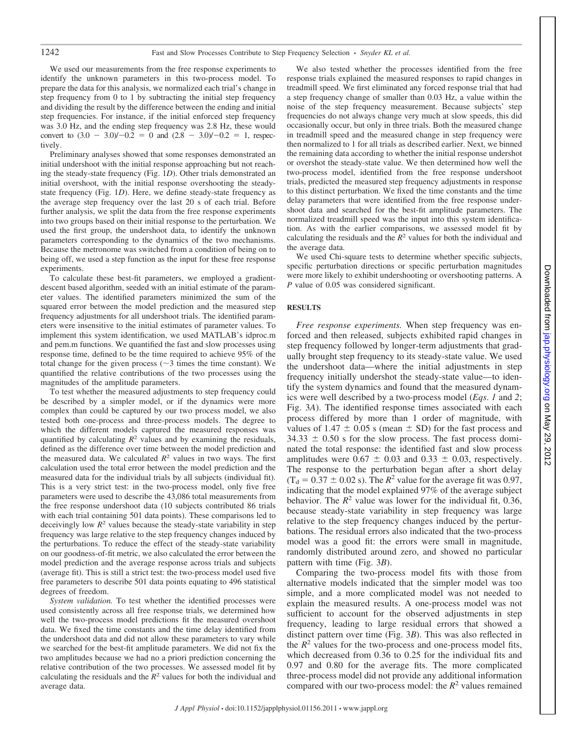We used our measurements from the free response experiments to identify the unknown parameters in this two-process model. To prepare the data for this analysis, we normalized each trial's change in step frequency from 0 to 1 by subtracting the initial step frequency and dividing the result by the difference between the ending and initial step frequencies. For instance, if the initial enforced step frequency was 3.0 Hz, and the ending step frequency was 2.8 Hz, these would convert to  $(3.0 - 3.0) / -0.2 = 0$  and  $(2.8 - 3.0) / -0.2 = 1$ , respectively.

Preliminary analyses showed that some responses demonstrated an initial undershoot with the initial response approaching but not reaching the steady-state frequency (Fig. 1*D*). Other trials demonstrated an initial overshoot, with the initial response overshooting the steadystate frequency (Fig. 1*D*). Here, we define steady-state frequency as the average step frequency over the last 20 s of each trial. Before further analysis, we split the data from the free response experiments into two groups based on their initial response to the perturbation. We used the first group, the undershoot data, to identify the unknown parameters corresponding to the dynamics of the two mechanisms. Because the metronome was switched from a condition of being on to being off, we used a step function as the input for these free response experiments.

To calculate these best-fit parameters, we employed a gradientdescent based algorithm, seeded with an initial estimate of the parameter values. The identified parameters minimized the sum of the squared error between the model prediction and the measured step frequency adjustments for all undershoot trials. The identified parameters were insensitive to the initial estimates of parameter values. To implement this system identification, we used MATLAB's idproc.m and pem.m functions. We quantified the fast and slow processes using response time, defined to be the time required to achieve 95% of the total change for the given process  $(\sim$ 3 times the time constant). We quantified the relative contributions of the two processes using the magnitudes of the amplitude parameters.

To test whether the measured adjustments to step frequency could be described by a simpler model, or if the dynamics were more complex than could be captured by our two process model, we also tested both one-process and three-process models. The degree to which the different models captured the measured responses was quantified by calculating  $R^2$  values and by examining the residuals, defined as the difference over time between the model prediction and the measured data. We calculated  $R^2$  values in two ways. The first calculation used the total error between the model prediction and the measured data for the individual trials by all subjects (individual fit). This is a very strict test: in the two-process model, only five free parameters were used to describe the 43,086 total measurements from the free response undershoot data (10 subjects contributed 86 trials with each trial containing 501 data points). These comparisons led to deceivingly low  $R^2$  values because the steady-state variability in step frequency was large relative to the step frequency changes induced by the perturbations. To reduce the effect of the steady-state variability on our goodness-of-fit metric, we also calculated the error between the model prediction and the average response across trials and subjects (average fit). This is still a strict test: the two-process model used five free parameters to describe 501 data points equating to 496 statistical degrees of freedom.

*System validation.* To test whether the identified processes were used consistently across all free response trials, we determined how well the two-process model predictions fit the measured overshoot data. We fixed the time constants and the time delay identified from the undershoot data and did not allow these parameters to vary while we searched for the best-fit amplitude parameters. We did not fix the two amplitudes because we had no a priori prediction concerning the relative contribution of the two processes. We assessed model fit by calculating the residuals and the  $R^2$  values for both the individual and average data.

We also tested whether the processes identified from the free response trials explained the measured responses to rapid changes in treadmill speed. We first eliminated any forced response trial that had a step frequency change of smaller than 0.03 Hz, a value within the noise of the step frequency measurement. Because subjects' step frequencies do not always change very much at slow speeds, this did occasionally occur, but only in three trials. Both the measured change in treadmill speed and the measured change in step frequency were then normalized to 1 for all trials as described earlier. Next, we binned the remaining data according to whether the initial response undershot or overshot the steady-state value. We then determined how well the two-process model, identified from the free response undershoot trials, predicted the measured step frequency adjustments in response to this distinct perturbation. We fixed the time constants and the time delay parameters that were identified from the free response undershoot data and searched for the best-fit amplitude parameters. The normalized treadmill speed was the input into this system identification. As with the earlier comparisons, we assessed model fit by calculating the residuals and the  $R^2$  values for both the individual and the average data.

We used Chi-square tests to determine whether specific subjects, specific perturbation directions or specific perturbation magnitudes were more likely to exhibit undershooting or overshooting patterns. A *P* value of 0.05 was considered significant.

#### **RESULTS**

*Free response experiments.* When step frequency was enforced and then released, subjects exhibited rapid changes in step frequency followed by longer-term adjustments that gradually brought step frequency to its steady-state value. We used the undershoot data—where the initial adjustments in step frequency initially undershot the steady-state value—to identify the system dynamics and found that the measured dynamics were well described by a two-process model (*Eqs*. *1* and *2*; Fig. 3*A*). The identified response times associated with each process differed by more than 1 order of magnitude, with values of 1.47  $\pm$  0.05 s (mean  $\pm$  SD) for the fast process and  $34.33 \pm 0.50$  s for the slow process. The fast process dominated the total response: the identified fast and slow process amplitudes were  $0.67 \pm 0.03$  and  $0.33 \pm 0.03$ , respectively. The response to the perturbation began after a short delay  $(T_d = 0.37 \pm 0.02 \text{ s})$ . The  $R^2$  value for the average fit was 0.97, indicating that the model explained 97% of the average subject behavior. The  $R^2$  value was lower for the individual fit, 0.36, because steady-state variability in step frequency was large relative to the step frequency changes induced by the perturbations. The residual errors also indicated that the two-process model was a good fit: the errors were small in magnitude, randomly distributed around zero, and showed no particular pattern with time (Fig. 3*B*).

Comparing the two-process model fits with those from alternative models indicated that the simpler model was too simple, and a more complicated model was not needed to explain the measured results. A one-process model was not sufficient to account for the observed adjustments in step frequency, leading to large residual errors that showed a distinct pattern over time (Fig. 3*B*). This was also reflected in the  $R^2$  values for the two-process and one-process model fits, which decreased from 0.36 to 0.25 for the individual fits and 0.97 and 0.80 for the average fits. The more complicated three-process model did not provide any additional information compared with our two-process model: the  $R^2$  values remained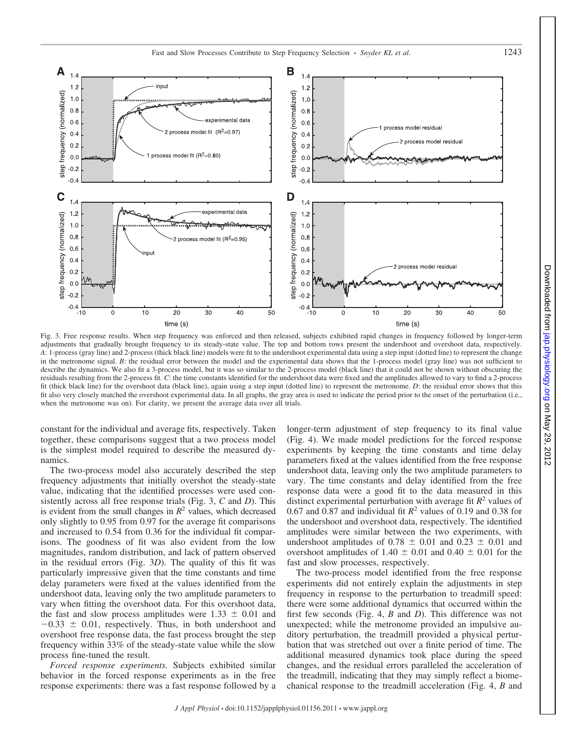

Fig. 3. Free response results. When step frequency was enforced and then released, subjects exhibited rapid changes in frequency followed by longer-term adjustments that gradually brought frequency to its steady-state value. The top and bottom rows present the undershoot and overshoot data, respectively. *A*: 1-process (gray line) and 2-process (thick black line) models were fit to the undershoot experimental data using a step input (dotted line) to represent the change in the metronome signal. *B*: the residual error between the model and the experimental data shows that the 1-process model (gray line) was not sufficient to describe the dynamics. We also fit a 3-process model, but it was so similar to the 2-process model (black line) that it could not be shown without obscuring the residuals resulting from the 2-process fit. *C*: the time constants identified for the undershoot data were fixed and the amplitudes allowed to vary to find a 2-process fit (thick black line) for the overshoot data (black line), again using a step input (dotted line) to represent the metronome. *D*: the residual error shows that this fit also very closely matched the overshoot experimental data. In all graphs, the gray area is used to indicate the period prior to the onset of the perturbation (i.e., when the metronome was on). For clarity, we present the average data over all trials.

constant for the individual and average fits, respectively. Taken together, these comparisons suggest that a two process model is the simplest model required to describe the measured dynamics.

The two-process model also accurately described the step frequency adjustments that initially overshot the steady-state value, indicating that the identified processes were used consistently across all free response trials (Fig. 3, *C* and *D*). This is evident from the small changes in  $R^2$  values, which decreased only slightly to 0.95 from 0.97 for the average fit comparisons and increased to 0.54 from 0.36 for the individual fit comparisons. The goodness of fit was also evident from the low magnitudes, random distribution, and lack of pattern observed in the residual errors (Fig. 3*D*). The quality of this fit was particularly impressive given that the time constants and time delay parameters were fixed at the values identified from the undershoot data, leaving only the two amplitude parameters to vary when fitting the overshoot data. For this overshoot data, the fast and slow process amplitudes were  $1.33 \pm 0.01$  and  $-0.33 \pm 0.01$ , respectively. Thus, in both undershoot and overshoot free response data, the fast process brought the step frequency within 33% of the steady-state value while the slow process fine-tuned the result.

*Forced response experiments.* Subjects exhibited similar behavior in the forced response experiments as in the free response experiments: there was a fast response followed by a longer-term adjustment of step frequency to its final value (Fig. 4). We made model predictions for the forced response experiments by keeping the time constants and time delay parameters fixed at the values identified from the free response undershoot data, leaving only the two amplitude parameters to vary. The time constants and delay identified from the free response data were a good fit to the data measured in this distinct experimental perturbation with average fit  $R^2$  values of 0.67 and  $0.87$  and individual fit  $R^2$  values of 0.19 and 0.38 for the undershoot and overshoot data, respectively. The identified amplitudes were similar between the two experiments, with undershoot amplitudes of  $0.78 \pm 0.01$  and  $0.23 \pm 0.01$  and overshoot amplitudes of 1.40  $\pm$  0.01 and 0.40  $\pm$  0.01 for the fast and slow processes, respectively.

The two-process model identified from the free response experiments did not entirely explain the adjustments in step frequency in response to the perturbation to treadmill speed: there were some additional dynamics that occurred within the first few seconds (Fig. 4, *B* and *D*). This difference was not unexpected; while the metronome provided an impulsive auditory perturbation, the treadmill provided a physical perturbation that was stretched out over a finite period of time. The additional measured dynamics took place during the speed changes, and the residual errors paralleled the acceleration of the treadmill, indicating that they may simply reflect a biomechanical response to the treadmill acceleration (Fig. 4, *B* and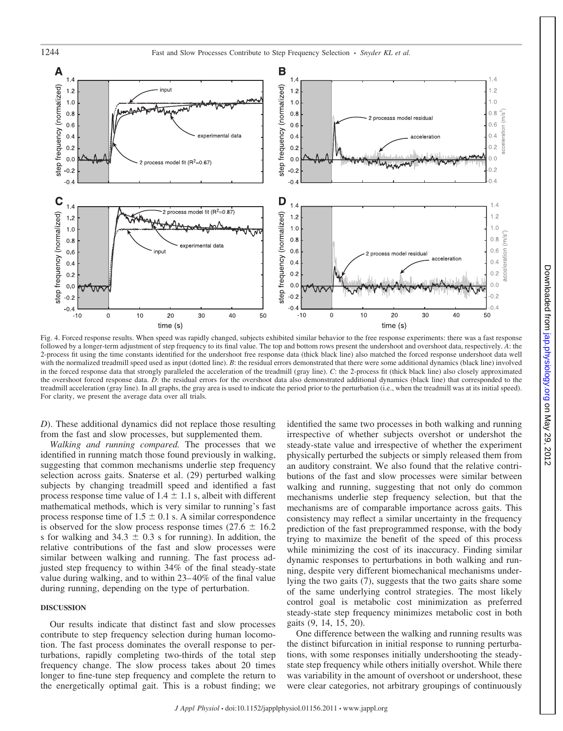



Fig. 4. Forced response results. When speed was rapidly changed, subjects exhibited similar behavior to the free response experiments: there was a fast response followed by a longer-term adjustment of step frequency to its final value. The top and bottom rows present the undershoot and overshoot data, respectively. *A*: the 2-process fit using the time constants identified for the undershoot free response data (thick black line) also matched the forced response undershoot data well with the normalized treadmill speed used as input (dotted line). *B*: the residual errors demonstrated that there were some additional dynamics (black line) involved in the forced response data that strongly paralleled the acceleration of the treadmill (gray line). *C*: the 2-process fit (thick black line) also closely approximated the overshoot forced response data. *D*: the residual errors for the overshoot data also demonstrated additional dynamics (black line) that corresponded to the treadmill acceleration (gray line). In all graphs, the gray area is used to indicate the period prior to the perturbation (i.e., when the treadmill was at its initial speed). For clarity, we present the average data over all trials.

*D*). These additional dynamics did not replace those resulting from the fast and slow processes, but supplemented them.

*Walking and running compared.* The processes that we identified in running match those found previously in walking, suggesting that common mechanisms underlie step frequency selection across gaits. Snaterse et al. (29) perturbed walking subjects by changing treadmill speed and identified a fast process response time value of  $1.4 \pm 1.1$  s, albeit with different mathematical methods, which is very similar to running's fast process response time of  $1.5 \pm 0.1$  s. A similar correspondence is observed for the slow process response times ( $27.6 \pm 16.2$ ) s for walking and  $34.3 \pm 0.3$  s for running). In addition, the relative contributions of the fast and slow processes were similar between walking and running. The fast process adjusted step frequency to within 34% of the final steady-state value during walking, and to within 23– 40% of the final value during running, depending on the type of perturbation.

### **DISCUSSION**

Our results indicate that distinct fast and slow processes contribute to step frequency selection during human locomotion. The fast process dominates the overall response to perturbations, rapidly completing two-thirds of the total step frequency change. The slow process takes about 20 times longer to fine-tune step frequency and complete the return to the energetically optimal gait. This is a robust finding; we identified the same two processes in both walking and running irrespective of whether subjects overshot or undershot the steady-state value and irrespective of whether the experiment physically perturbed the subjects or simply released them from an auditory constraint. We also found that the relative contributions of the fast and slow processes were similar between walking and running, suggesting that not only do common mechanisms underlie step frequency selection, but that the mechanisms are of comparable importance across gaits. This consistency may reflect a similar uncertainty in the frequency prediction of the fast preprogrammed response, with the body trying to maximize the benefit of the speed of this process while minimizing the cost of its inaccuracy. Finding similar dynamic responses to perturbations in both walking and running, despite very different biomechanical mechanisms underlying the two gaits (7), suggests that the two gaits share some of the same underlying control strategies. The most likely control goal is metabolic cost minimization as preferred steady-state step frequency minimizes metabolic cost in both gaits (9, 14, 15, 20).

One difference between the walking and running results was the distinct bifurcation in initial response to running perturbations, with some responses initially undershooting the steadystate step frequency while others initially overshot. While there was variability in the amount of overshoot or undershoot, these were clear categories, not arbitrary groupings of continuously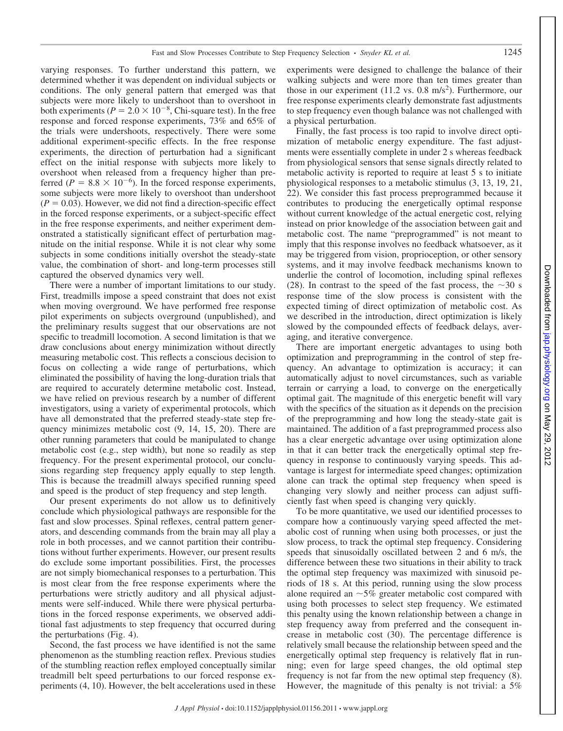varying responses. To further understand this pattern, we determined whether it was dependent on individual subjects or conditions. The only general pattern that emerged was that subjects were more likely to undershoot than to overshoot in both experiments ( $P = 2.0 \times 10^{-8}$ , Chi-square test). In the free response and forced response experiments, 73% and 65% of the trials were undershoots, respectively. There were some additional experiment-specific effects. In the free response experiments, the direction of perturbation had a significant effect on the initial response with subjects more likely to overshoot when released from a frequency higher than preferred ( $P = 8.8 \times 10^{-6}$ ). In the forced response experiments, some subjects were more likely to overshoot than undershoot  $(P = 0.03)$ . However, we did not find a direction-specific effect in the forced response experiments, or a subject-specific effect in the free response experiments, and neither experiment demonstrated a statistically significant effect of perturbation magnitude on the initial response. While it is not clear why some subjects in some conditions initially overshot the steady-state value, the combination of short- and long-term processes still captured the observed dynamics very well.

There were a number of important limitations to our study. First, treadmills impose a speed constraint that does not exist when moving overground. We have performed free response pilot experiments on subjects overground (unpublished), and the preliminary results suggest that our observations are not specific to treadmill locomotion. A second limitation is that we draw conclusions about energy minimization without directly measuring metabolic cost. This reflects a conscious decision to focus on collecting a wide range of perturbations, which eliminated the possibility of having the long-duration trials that are required to accurately determine metabolic cost. Instead, we have relied on previous research by a number of different investigators, using a variety of experimental protocols, which have all demonstrated that the preferred steady-state step frequency minimizes metabolic cost (9, 14, 15, 20). There are other running parameters that could be manipulated to change metabolic cost (e.g., step width), but none so readily as step frequency. For the present experimental protocol, our conclusions regarding step frequency apply equally to step length. This is because the treadmill always specified running speed and speed is the product of step frequency and step length.

Our present experiments do not allow us to definitively conclude which physiological pathways are responsible for the fast and slow processes. Spinal reflexes, central pattern generators, and descending commands from the brain may all play a role in both processes, and we cannot partition their contributions without further experiments. However, our present results do exclude some important possibilities. First, the processes are not simply biomechanical responses to a perturbation. This is most clear from the free response experiments where the perturbations were strictly auditory and all physical adjustments were self-induced. While there were physical perturbations in the forced response experiments, we observed additional fast adjustments to step frequency that occurred during the perturbations (Fig. 4).

Second, the fast process we have identified is not the same phenomenon as the stumbling reaction reflex. Previous studies of the stumbling reaction reflex employed conceptually similar treadmill belt speed perturbations to our forced response experiments (4, 10). However, the belt accelerations used in these

experiments were designed to challenge the balance of their walking subjects and were more than ten times greater than those in our experiment  $(11.2 \text{ vs. } 0.8 \text{ m/s}^2)$ . Furthermore, our free response experiments clearly demonstrate fast adjustments to step frequency even though balance was not challenged with a physical perturbation.

Finally, the fast process is too rapid to involve direct optimization of metabolic energy expenditure. The fast adjustments were essentially complete in under 2 s whereas feedback from physiological sensors that sense signals directly related to metabolic activity is reported to require at least 5 s to initiate physiological responses to a metabolic stimulus (3, 13, 19, 21, 22). We consider this fast process preprogrammed because it contributes to producing the energetically optimal response without current knowledge of the actual energetic cost, relying instead on prior knowledge of the association between gait and metabolic cost. The name "preprogrammed" is not meant to imply that this response involves no feedback whatsoever, as it may be triggered from vision, proprioception, or other sensory systems, and it may involve feedback mechanisms known to underlie the control of locomotion, including spinal reflexes (28). In contrast to the speed of the fast process, the  $\sim$ 30 s response time of the slow process is consistent with the expected timing of direct optimization of metabolic cost. As we described in the introduction, direct optimization is likely slowed by the compounded effects of feedback delays, averaging, and iterative convergence.

There are important energetic advantages to using both optimization and preprogramming in the control of step frequency. An advantage to optimization is accuracy; it can automatically adjust to novel circumstances, such as variable terrain or carrying a load, to converge on the energetically optimal gait. The magnitude of this energetic benefit will vary with the specifics of the situation as it depends on the precision of the preprogramming and how long the steady-state gait is maintained. The addition of a fast preprogrammed process also has a clear energetic advantage over using optimization alone in that it can better track the energetically optimal step frequency in response to continuously varying speeds. This advantage is largest for intermediate speed changes; optimization alone can track the optimal step frequency when speed is changing very slowly and neither process can adjust sufficiently fast when speed is changing very quickly.

To be more quantitative, we used our identified processes to compare how a continuously varying speed affected the metabolic cost of running when using both processes, or just the slow process, to track the optimal step frequency. Considering speeds that sinusoidally oscillated between 2 and 6 m/s, the difference between these two situations in their ability to track the optimal step frequency was maximized with sinusoid periods of 18 s. At this period, running using the slow process alone required an  $\sim$  5% greater metabolic cost compared with using both processes to select step frequency. We estimated this penalty using the known relationship between a change in step frequency away from preferred and the consequent increase in metabolic cost (30). The percentage difference is relatively small because the relationship between speed and the energetically optimal step frequency is relatively flat in running; even for large speed changes, the old optimal step frequency is not far from the new optimal step frequency (8). However, the magnitude of this penalty is not trivial: a 5%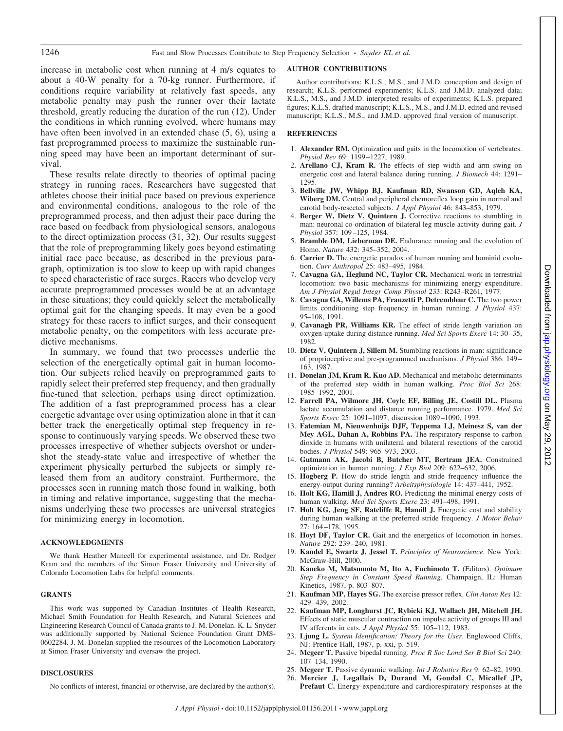increase in metabolic cost when running at 4 m/s equates to about a 40-W penalty for a 70-kg runner. Furthermore, if conditions require variability at relatively fast speeds, any metabolic penalty may push the runner over their lactate threshold, greatly reducing the duration of the run (12). Under the conditions in which running evolved, where humans may have often been involved in an extended chase  $(5, 6)$ , using a fast preprogrammed process to maximize the sustainable running speed may have been an important determinant of survival.

These results relate directly to theories of optimal pacing strategy in running races. Researchers have suggested that athletes choose their initial pace based on previous experience and environmental conditions, analogous to the role of the preprogrammed process, and then adjust their pace during the race based on feedback from physiological sensors, analogous to the direct optimization process (31, 32). Our results suggest that the role of preprogramming likely goes beyond estimating initial race pace because, as described in the previous paragraph, optimization is too slow to keep up with rapid changes to speed characteristic of race surges. Racers who develop very accurate preprogrammed processes would be at an advantage in these situations; they could quickly select the metabolically optimal gait for the changing speeds. It may even be a good strategy for these racers to inflict surges, and their consequent metabolic penalty, on the competitors with less accurate predictive mechanisms.

In summary, we found that two processes underlie the selection of the energetically optimal gait in human locomotion. Our subjects relied heavily on preprogrammed gaits to rapidly select their preferred step frequency, and then gradually fine-tuned that selection, perhaps using direct optimization. The addition of a fast preprogrammed process has a clear energetic advantage over using optimization alone in that it can better track the energetically optimal step frequency in response to continuously varying speeds. We observed these two processes irrespective of whether subjects overshot or undershot the steady-state value and irrespective of whether the experiment physically perturbed the subjects or simply released them from an auditory constraint. Furthermore, the processes seen in running match those found in walking, both in timing and relative importance, suggesting that the mechanisms underlying these two processes are universal strategies for minimizing energy in locomotion.

#### **ACKNOWLEDGMENTS**

We thank Heather Mancell for experimental assistance, and Dr. Rodger Kram and the members of the Simon Fraser University and University of Colorado Locomotion Labs for helpful comments.

#### **GRANTS**

This work was supported by Canadian Institutes of Health Research, Michael Smith Foundation for Health Research, and Natural Sciences and Engineering Research Council of Canada grants to J. M. Donelan. K. L. Snyder was additionally supported by National Science Foundation Grant DMS-0602284. J. M. Donelan supplied the resources of the Locomotion Laboratory at Simon Fraser University and oversaw the project.

#### **DISCLOSURES**

No conflicts of interest, financial or otherwise, are declared by the author(s).

#### **AUTHOR CONTRIBUTIONS**

Author contributions: K.L.S., M.S., and J.M.D. conception and design of research; K.L.S. performed experiments; K.L.S. and J.M.D. analyzed data; K.L.S., M.S., and J.M.D. interpreted results of experiments; K.L.S. prepared figures; K.L.S. drafted manuscript; K.L.S., M.S., and J.M.D. edited and revised manuscript; K.L.S., M.S., and J.M.D. approved final version of manuscript.

#### **REFERENCES**

- 1. **Alexander RM.** Optimization and gaits in the locomotion of vertebrates. *Physiol Rev* 69: 1199 –1227, 1989.
- 2. **Arellano CJ, Kram R.** The effects of step width and arm swing on energetic cost and lateral balance during running. *J Biomech* 44: 1291– 1295.
- 3. **Bellville JW, Whipp BJ, Kaufman RD, Swanson GD, Aqleh KA, Wiberg DM.** Central and peripheral chemoreflex loop gain in normal and carotid body-resected subjects. *J Appl Physiol* 46: 843–853, 1979.
- 4. **Berger W, Dietz V, Quintern J.** Corrective reactions to stumbling in man: neuronal co-ordination of bilateral leg muscle activity during gait. *J Physiol* 357: 109 –125, 1984.
- 5. **Bramble DM, Lieberman DE.** Endurance running and the evolution of Homo. *Nature* 432: 345–352, 2004.
- 6. **Carrier D.** The energetic paradox of human running and hominid evolution. *Curr Anthropol* 25: 483–495, 1984.
- 7. **Cavagna GA, Heglund NC, Taylor CR.** Mechanical work in terrestrial locomotion: two basic mechanisms for minimizing energy expenditure. *Am J Physiol Regul Integr Comp Physiol* 233: R243–R261, 1977.
- 8. **Cavagna GA, Willems PA, Franzetti P, Detrembleur C.** The two power limits conditioning step frequency in human running. *J Physiol* 437: 95–108, 1991.
- 9. **Cavanagh PR, Williams KR.** The effect of stride length variation on oxygen-uptake during distance running. *Med Sci Sports Exerc* 14: 30 –35, 1982.
- 10. **Dietz V, Quintern J, Sillem M.** Stumbling reactions in man: significance of proprioceptive and pre-programmed mechanisms. *J Physiol* 386: 149 – 163, 1987.
- 11. **Donelan JM, Kram R, Kuo AD.** Mechanical and metabolic determinants of the preferred step width in human walking. *Proc Biol Sci* 268: 1985–1992, 2001.
- 12. **Farrell PA, Wilmore JH, Coyle EF, Billing JE, Costill DL.** Plasma lactate accumulation and distance running performance. 1979. *Med Sci Sports Exerc* 25: 1091–1097; discussion 1089 –1090, 1993.
- 13. **Fatemian M, Nieuwenhuijs DJF, Teppema LJ, Meinesz S, van der Mey AGL, Dahan A, Robbins PA.** The respiratory response to carbon dioxide in humans with unilateral and bilateral resections of the carotid bodies. *J Physiol* 549: 965–973, 2003.
- 14. **Gutmann AK, Jacobi B, Butcher MT, Bertram JEA.** Constrained optimization in human running. *J Exp Biol* 209: 622–632, 2006.
- 15. **Hogberg P.** How do stride length and stride frequency influence the energy-output during running? *Arbeitsphysiologie* 14: 437–441, 1952.
- 16. **Holt KG, Hamill J, Andres RO.** Predicting the minimal energy costs of human walking. *Med Sci Sports Exerc* 23: 491–498, 1991.
- 17. **Holt KG, Jeng SF, Ratcliffe R, Hamill J.** Energetic cost and stability during human walking at the preferred stride frequency. *J Motor Behav* 27: 164 –178, 1995.
- 18. **Hoyt DF, Taylor CR.** Gait and the energetics of locomotion in horses. *Nature* 292: 239 –240, 1981.
- 19. **Kandel E, Swartz J, Jessel T.** *Principles of Neuroscience*. New York: McGraw-Hill, 2000.
- 20. **Kaneko M, Matsumoto M, Ito A, Fuchimoto T.** (Editors). *Optimum Step Frequency in Constant Speed Running*. Champaign, IL: Human Kinetics, 1987, p. 803–807.
- 21. **Kaufman MP, Hayes SG.** The exercise pressor reflex. *Clin Auton Res* 12: 429 –439, 2002.
- 22. **Kaufman MP, Longhurst JC, Rybicki KJ, Wallach JH, Mitchell JH.** Effects of static muscular contraction on impulse activity of groups III and IV afferents in cats. *J Appl Physiol* 55: 105–112, 1983.
- 23. **Ljung L.** *System Identification: Theory for the User*. Englewood Cliffs, NJ: Prentice-Hall, 1987, p. xxi, p. 519.
- 24. **Mcgeer T.** Passive bipedal running. *Proc R Soc Lond Ser B Biol Sci* 240: 107–134, 1990.
- 25. **Mcgeer T.** Passive dynamic walking. *Int J Robotics Res* 9: 62–82, 1990.
- 26. **Mercier J, Legallais D, Durand M, Goudal C, Micallef JP, Prefaut C.** Energy-expenditure and cardiorespiratory responses at the